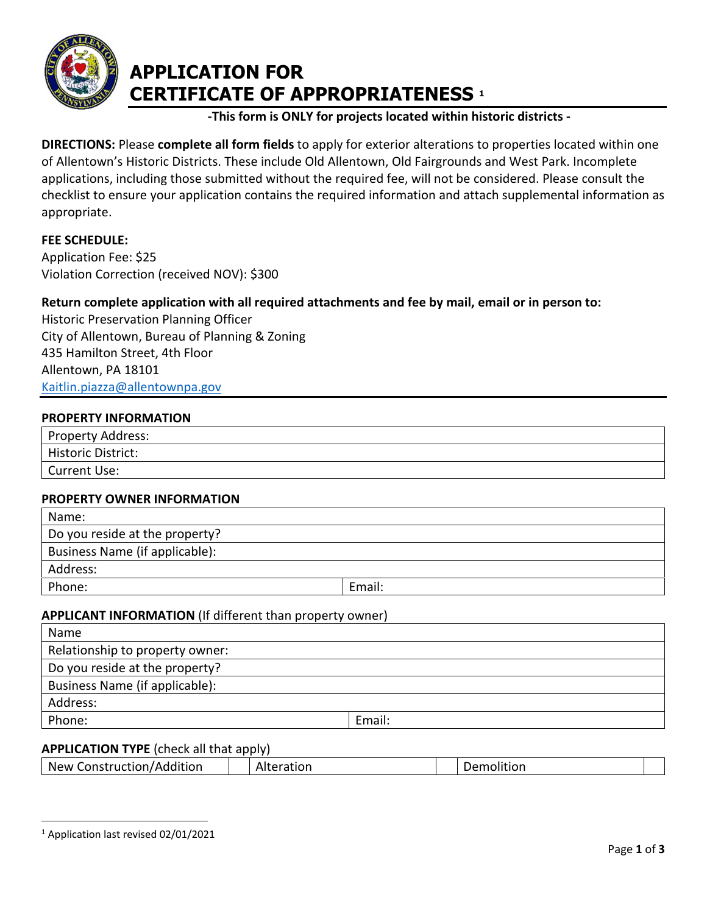

# **APPLICATION FOR CERTIFICATE OF APPROPRIATENESS <sup>1</sup>**

## **-This form is ONLY for projects located within historic districts -**

**DIRECTIONS:** Please **complete all form fields** to apply for exterior alterations to properties located within one of Allentown's Historic Districts. These include Old Allentown, Old Fairgrounds and West Park. Incomplete applications, including those submitted without the required fee, will not be considered. Please consult the checklist to ensure your application contains the required information and attach supplemental information as appropriate.

## **FEE SCHEDULE:**

Application Fee: \$25 Violation Correction (received NOV): \$300

# **Return complete application with all required attachments and fee by mail, email or in person to:**

Historic Preservation Planning Officer City of Allentown, Bureau of Planning & Zoning 435 Hamilton Street, 4th Floor Allentown, PA 18101 [Kaitlin.piazza@allentownpa.gov](mailto:Kaitlin.piazza@allentownpa.gov) 

#### **PROPERTY INFORMATION**

| <b>Property Address:</b>  |  |
|---------------------------|--|
| <b>Historic District:</b> |  |
| Current Use:              |  |

#### **PROPERTY OWNER INFORMATION**

| Name:                          |        |  |
|--------------------------------|--------|--|
| Do you reside at the property? |        |  |
| Business Name (if applicable): |        |  |
| Address:                       |        |  |
| Phone:                         | Email: |  |

## **APPLICANT INFORMATION** (If different than property owner)

| Name                            |        |  |
|---------------------------------|--------|--|
| Relationship to property owner: |        |  |
| Do you reside at the property?  |        |  |
| Business Name (if applicable):  |        |  |
| Address:                        |        |  |
| Phone:                          | Email: |  |

## **APPLICATION TYPE** (check all that apply)

|  |  |  | $1$ Application last revised 02/01/2021 |
|--|--|--|-----------------------------------------|
|--|--|--|-----------------------------------------|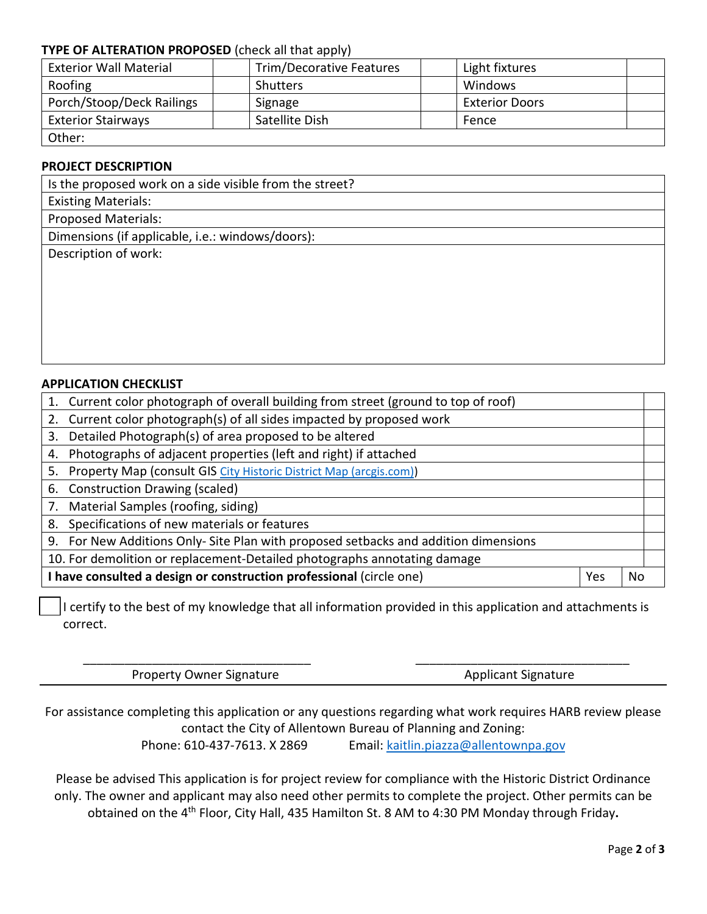## **TYPE OF ALTERATION PROPOSED** (check all that apply)

| <b>Exterior Wall Material</b> |  | Trim/Decorative Features |  | Light fixtures        |  |
|-------------------------------|--|--------------------------|--|-----------------------|--|
| Roofing                       |  | <b>Shutters</b>          |  | Windows               |  |
| Porch/Stoop/Deck Railings     |  | Signage                  |  | <b>Exterior Doors</b> |  |
| <b>Exterior Stairways</b>     |  | Satellite Dish           |  | Fence                 |  |
| Other:                        |  |                          |  |                       |  |

#### **PROJECT DESCRIPTION**

| Is the proposed work on a side visible from the street? |  |  |  |
|---------------------------------------------------------|--|--|--|
| <b>Existing Materials:</b>                              |  |  |  |
| <b>Proposed Materials:</b>                              |  |  |  |
| Dimensions (if applicable, i.e.: windows/doors):        |  |  |  |
| Description of work:                                    |  |  |  |
|                                                         |  |  |  |
|                                                         |  |  |  |
|                                                         |  |  |  |
|                                                         |  |  |  |
|                                                         |  |  |  |

## **APPLICATION CHECKLIST**

|    | 1. Current color photograph of overall building from street (ground to top of roof) |  |  |  |  |
|----|-------------------------------------------------------------------------------------|--|--|--|--|
|    | 2. Current color photograph(s) of all sides impacted by proposed work               |  |  |  |  |
|    | 3. Detailed Photograph(s) of area proposed to be altered                            |  |  |  |  |
| 4. | Photographs of adjacent properties (left and right) if attached                     |  |  |  |  |
| 5. | Property Map (consult GIS City Historic District Map (arcgis.com))                  |  |  |  |  |
|    | 6. Construction Drawing (scaled)                                                    |  |  |  |  |
|    | 7. Material Samples (roofing, siding)                                               |  |  |  |  |
| 8. | Specifications of new materials or features                                         |  |  |  |  |
|    | 9. For New Additions Only- Site Plan with proposed setbacks and addition dimensions |  |  |  |  |
|    | 10. For demolition or replacement-Detailed photographs annotating damage            |  |  |  |  |
|    | I have consulted a design or construction professional (circle one)<br>Yes          |  |  |  |  |

I certify to the best of my knowledge that all information provided in this application and attachments is correct.

\_\_\_\_\_\_\_\_\_\_\_\_\_\_\_\_\_\_\_\_\_\_\_\_\_\_\_\_\_\_\_\_\_ \_\_\_\_\_\_\_\_\_\_\_\_\_\_\_\_\_\_\_\_\_\_\_\_\_\_\_\_\_\_\_

Property Owner Signature Applicant Signature Applicant Signature

For assistance completing this application or any questions regarding what work requires HARB review please contact the City of Allentown Bureau of Planning and Zoning: Phone: 610-437-7613. X 2869 Email: [kaitlin.piazza@allentownpa.gov](mailto:kaitlin.piazza@allentownpa.gov)

Please be advised This application is for project review for compliance with the Historic District Ordinance only. The owner and applicant may also need other permits to complete the project. Other permits can be obtained on the 4th Floor, City Hall, 435 Hamilton St. 8 AM to 4:30 PM Monday through Friday**.**